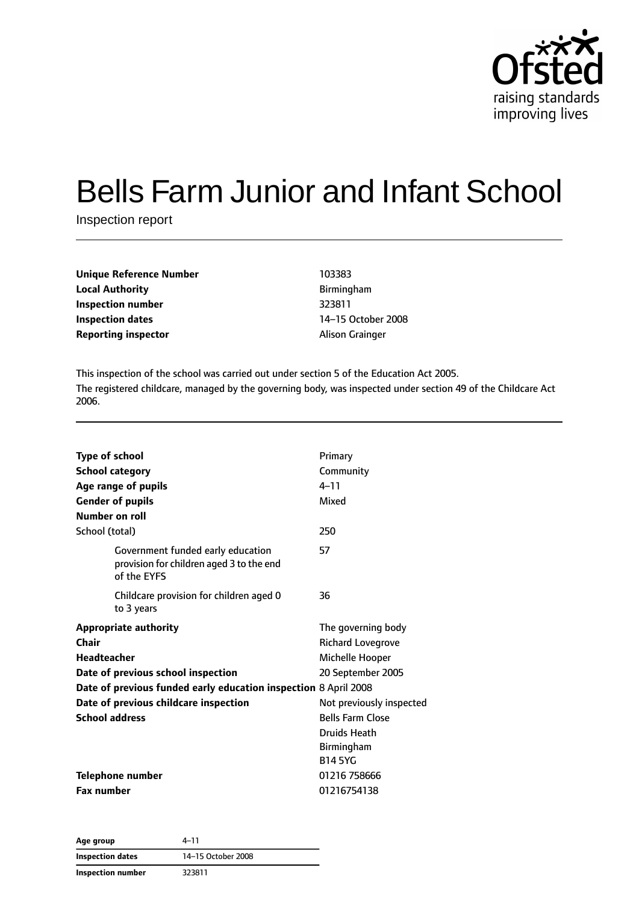

# Bells Farm Junior and Infant School

Inspection report

| <b>Unique Reference Number</b><br><b>Local Authority</b> | 103383         |
|----------------------------------------------------------|----------------|
|                                                          | <b>Birminc</b> |
| Inspection number                                        | 323811         |
| <b>Inspection dates</b>                                  | $14 - 150$     |
| <b>Reporting inspector</b>                               | Alison (       |

**Local Authority** Birmingham **Inspection number** 323811 **Inspection dates** 14–15 October 2008 **Alison Grainger** 

This inspection of the school was carried out under section 5 of the Education Act 2005. The registered childcare, managed by the governing body, was inspected under section 49 of the Childcare Act 2006.

| <b>Type of school</b><br><b>School category</b><br>Age range of pupils<br><b>Gender of pupils</b><br>Number on roll                                                                                                             | Primary<br>Community<br>$4 - 11$<br>Mixed                                                                                                                                                     |
|---------------------------------------------------------------------------------------------------------------------------------------------------------------------------------------------------------------------------------|-----------------------------------------------------------------------------------------------------------------------------------------------------------------------------------------------|
| School (total)                                                                                                                                                                                                                  | 250                                                                                                                                                                                           |
| Government funded early education<br>provision for children aged 3 to the end<br>of the EYFS                                                                                                                                    | 57                                                                                                                                                                                            |
| Childcare provision for children aged 0<br>to 3 years                                                                                                                                                                           | 36                                                                                                                                                                                            |
| <b>Appropriate authority</b><br>Chair<br>Headteacher<br>Date of previous school inspection<br>Date of previous funded early education inspection 8 April 2008<br>Date of previous childcare inspection<br><b>School address</b> | The governing body<br><b>Richard Lovegrove</b><br>Michelle Hooper<br>20 September 2005<br>Not previously inspected<br><b>Bells Farm Close</b><br>Druids Heath<br>Birmingham<br><b>B14 5YG</b> |
| Telephone number<br><b>Fax number</b>                                                                                                                                                                                           | 01216 758666<br>01216754138                                                                                                                                                                   |

**Age group** 4–11 **Inspection dates** 14–15 October 2008 **Inspection number** 323811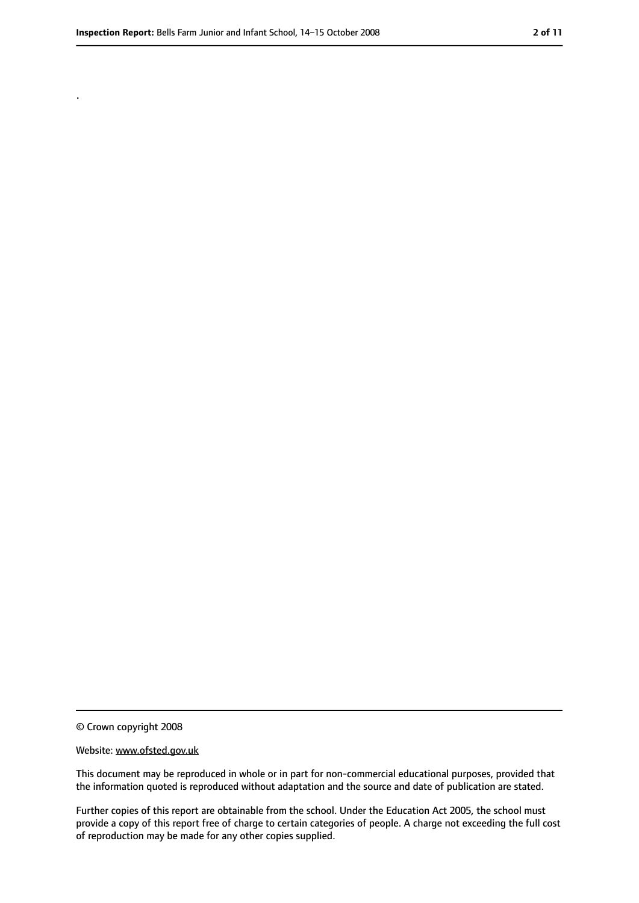.

<sup>©</sup> Crown copyright 2008

Website: www.ofsted.gov.uk

This document may be reproduced in whole or in part for non-commercial educational purposes, provided that the information quoted is reproduced without adaptation and the source and date of publication are stated.

Further copies of this report are obtainable from the school. Under the Education Act 2005, the school must provide a copy of this report free of charge to certain categories of people. A charge not exceeding the full cost of reproduction may be made for any other copies supplied.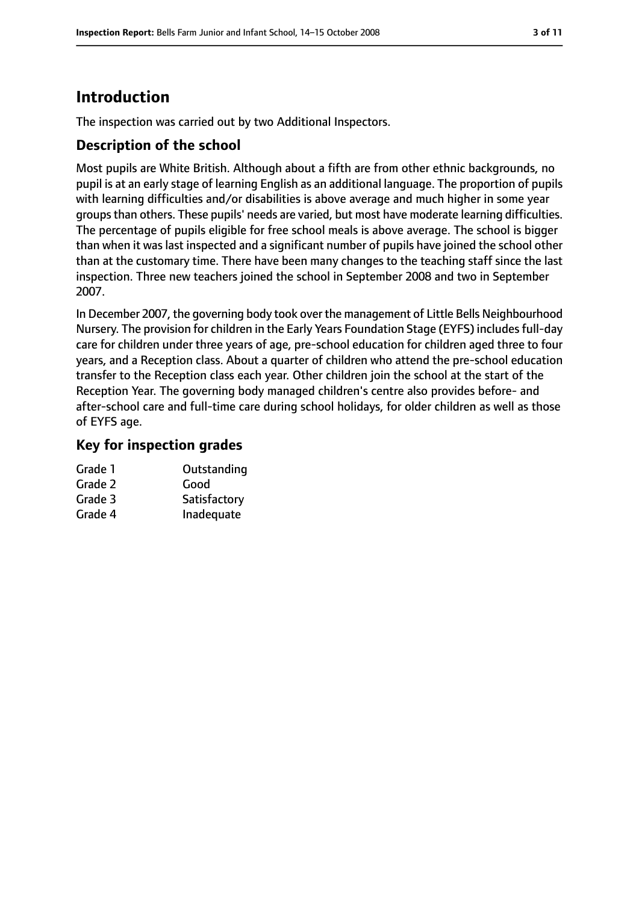# **Introduction**

The inspection was carried out by two Additional Inspectors.

## **Description of the school**

Most pupils are White British. Although about a fifth are from other ethnic backgrounds, no pupil is at an early stage of learning English as an additional language. The proportion of pupils with learning difficulties and/or disabilities is above average and much higher in some year groupsthan others. These pupils' needs are varied, but most have moderate learning difficulties. The percentage of pupils eligible for free school meals is above average. The school is bigger than when it was last inspected and a significant number of pupils have joined the school other than at the customary time. There have been many changes to the teaching staff since the last inspection. Three new teachers joined the school in September 2008 and two in September 2007.

In December 2007, the governing body took over the management of Little Bells Neighbourhood Nursery. The provision for children in the Early Years Foundation Stage (EYFS) includes full-day care for children under three years of age, pre-school education for children aged three to four years, and a Reception class. About a quarter of children who attend the pre-school education transfer to the Reception class each year. Other children join the school at the start of the Reception Year. The governing body managed children's centre also provides before- and after-school care and full-time care during school holidays, for older children as well as those of EYFS age.

## **Key for inspection grades**

| Grade 1 | Outstanding  |
|---------|--------------|
| Grade 2 | Good         |
| Grade 3 | Satisfactory |
| Grade 4 | Inadequate   |
|         |              |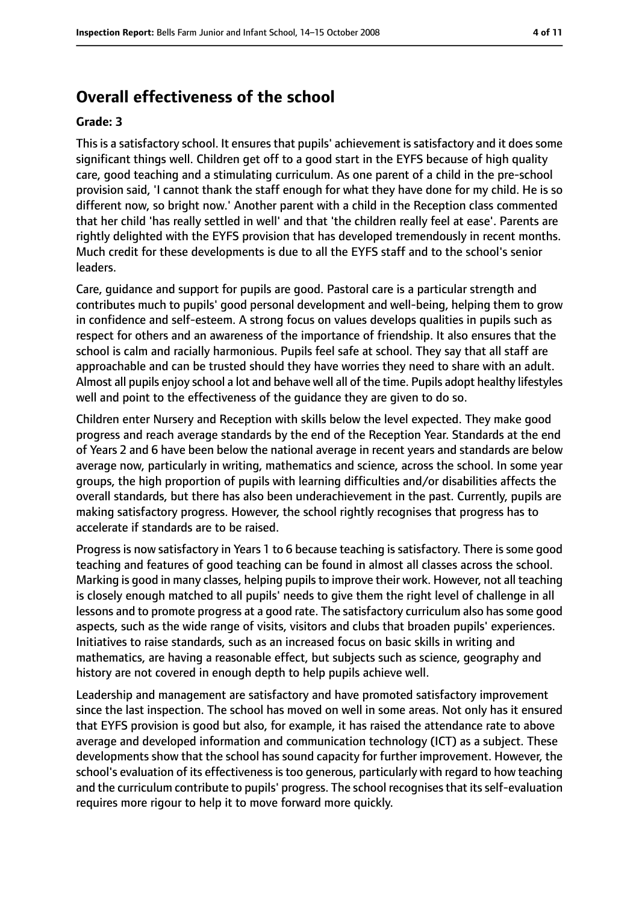## **Overall effectiveness of the school**

#### **Grade: 3**

This is a satisfactory school. It ensures that pupils' achievement is satisfactory and it does some significant things well. Children get off to a good start in the EYFS because of high quality care, good teaching and a stimulating curriculum. As one parent of a child in the pre-school provision said, 'I cannot thank the staff enough for what they have done for my child. He is so different now, so bright now.' Another parent with a child in the Reception class commented that her child 'has really settled in well' and that 'the children really feel at ease'. Parents are rightly delighted with the EYFS provision that has developed tremendously in recent months. Much credit for these developments is due to all the EYFS staff and to the school's senior leaders.

Care, guidance and support for pupils are good. Pastoral care is a particular strength and contributes much to pupils' good personal development and well-being, helping them to grow in confidence and self-esteem. A strong focus on values develops qualities in pupils such as respect for others and an awareness of the importance of friendship. It also ensures that the school is calm and racially harmonious. Pupils feel safe at school. They say that all staff are approachable and can be trusted should they have worries they need to share with an adult. Almost all pupils enjoy school a lot and behave well all of the time. Pupils adopt healthy lifestyles well and point to the effectiveness of the guidance they are given to do so.

Children enter Nursery and Reception with skills below the level expected. They make good progress and reach average standards by the end of the Reception Year. Standards at the end of Years 2 and 6 have been below the national average in recent years and standards are below average now, particularly in writing, mathematics and science, across the school. In some year groups, the high proportion of pupils with learning difficulties and/or disabilities affects the overall standards, but there has also been underachievement in the past. Currently, pupils are making satisfactory progress. However, the school rightly recognises that progress has to accelerate if standards are to be raised.

Progress is now satisfactory in Years 1 to 6 because teaching is satisfactory. There is some good teaching and features of good teaching can be found in almost all classes across the school. Marking is good in many classes, helping pupils to improve their work. However, not all teaching is closely enough matched to all pupils' needs to give them the right level of challenge in all lessons and to promote progress at a good rate. The satisfactory curriculum also has some good aspects, such as the wide range of visits, visitors and clubs that broaden pupils' experiences. Initiatives to raise standards, such as an increased focus on basic skills in writing and mathematics, are having a reasonable effect, but subjects such as science, geography and history are not covered in enough depth to help pupils achieve well.

Leadership and management are satisfactory and have promoted satisfactory improvement since the last inspection. The school has moved on well in some areas. Not only has it ensured that EYFS provision is good but also, for example, it has raised the attendance rate to above average and developed information and communication technology (ICT) as a subject. These developments show that the school has sound capacity for further improvement. However, the school's evaluation of its effectiveness is too generous, particularly with regard to how teaching and the curriculum contribute to pupils' progress. The school recognises that its self-evaluation requires more rigour to help it to move forward more quickly.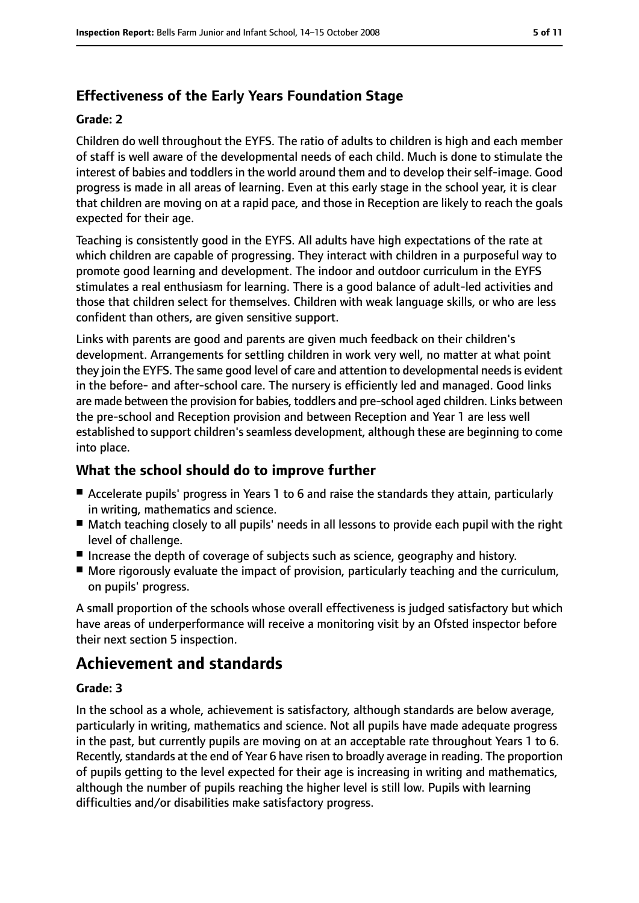## **Effectiveness of the Early Years Foundation Stage**

#### **Grade: 2**

Children do well throughout the EYFS. The ratio of adults to children is high and each member of staff is well aware of the developmental needs of each child. Much is done to stimulate the interest of babies and toddlers in the world around them and to develop their self-image. Good progress is made in all areas of learning. Even at this early stage in the school year, it is clear that children are moving on at a rapid pace, and those in Reception are likely to reach the goals expected for their age.

Teaching is consistently good in the EYFS. All adults have high expectations of the rate at which children are capable of progressing. They interact with children in a purposeful way to promote good learning and development. The indoor and outdoor curriculum in the EYFS stimulates a real enthusiasm for learning. There is a good balance of adult-led activities and those that children select for themselves. Children with weak language skills, or who are less confident than others, are given sensitive support.

Links with parents are good and parents are given much feedback on their children's development. Arrangements for settling children in work very well, no matter at what point they join the EYFS. The same good level of care and attention to developmental needsis evident in the before- and after-school care. The nursery is efficiently led and managed. Good links are made between the provision for babies, toddlers and pre-school aged children. Links between the pre-school and Reception provision and between Reception and Year 1 are less well established to support children's seamless development, although these are beginning to come into place.

## **What the school should do to improve further**

- Accelerate pupils' progress in Years 1 to 6 and raise the standards they attain, particularly in writing, mathematics and science.
- Match teaching closely to all pupils' needs in all lessons to provide each pupil with the right level of challenge.
- Increase the depth of coverage of subjects such as science, geography and history.
- More rigorously evaluate the impact of provision, particularly teaching and the curriculum, on pupils' progress.

A small proportion of the schools whose overall effectiveness is judged satisfactory but which have areas of underperformance will receive a monitoring visit by an Ofsted inspector before their next section 5 inspection.

# **Achievement and standards**

#### **Grade: 3**

In the school as a whole, achievement is satisfactory, although standards are below average, particularly in writing, mathematics and science. Not all pupils have made adequate progress in the past, but currently pupils are moving on at an acceptable rate throughout Years 1 to 6. Recently, standards at the end of Year 6 have risen to broadly average in reading. The proportion of pupils getting to the level expected for their age is increasing in writing and mathematics, although the number of pupils reaching the higher level is still low. Pupils with learning difficulties and/or disabilities make satisfactory progress.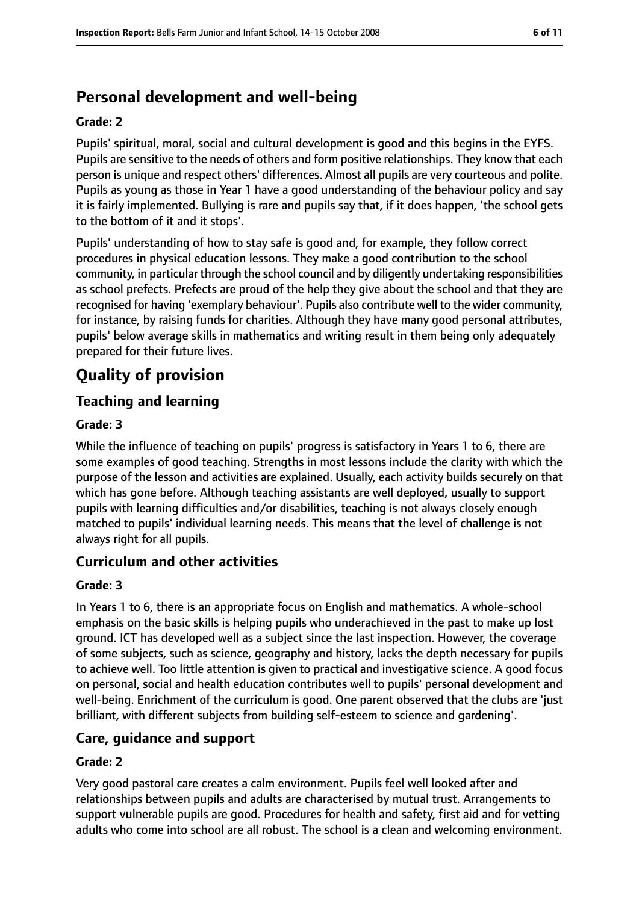# **Personal development and well-being**

#### **Grade: 2**

Pupils' spiritual, moral, social and cultural development is good and this begins in the EYFS. Pupils are sensitive to the needs of others and form positive relationships. They know that each person is unique and respect others' differences. Almost all pupils are very courteous and polite. Pupils as young as those in Year 1 have a good understanding of the behaviour policy and say it is fairly implemented. Bullying is rare and pupils say that, if it does happen, 'the school gets to the bottom of it and it stops'.

Pupils' understanding of how to stay safe is good and, for example, they follow correct procedures in physical education lessons. They make a good contribution to the school community, in particular through the school council and by diligently undertaking responsibilities as school prefects. Prefects are proud of the help they give about the school and that they are recognised for having 'exemplary behaviour'. Pupils also contribute well to the wider community, for instance, by raising funds for charities. Although they have many good personal attributes, pupils' below average skills in mathematics and writing result in them being only adequately prepared for their future lives.

# **Quality of provision**

## **Teaching and learning**

#### **Grade: 3**

While the influence of teaching on pupils' progress is satisfactory in Years 1 to 6, there are some examples of good teaching. Strengths in most lessons include the clarity with which the purpose of the lesson and activities are explained. Usually, each activity builds securely on that which has gone before. Although teaching assistants are well deployed, usually to support pupils with learning difficulties and/or disabilities, teaching is not always closely enough matched to pupils' individual learning needs. This means that the level of challenge is not always right for all pupils.

#### **Curriculum and other activities**

#### **Grade: 3**

In Years 1 to 6, there is an appropriate focus on English and mathematics. A whole-school emphasis on the basic skills is helping pupils who underachieved in the past to make up lost ground. ICT has developed well as a subject since the last inspection. However, the coverage of some subjects, such as science, geography and history, lacks the depth necessary for pupils to achieve well. Too little attention is given to practical and investigative science. A good focus on personal, social and health education contributes well to pupils' personal development and well-being. Enrichment of the curriculum is good. One parent observed that the clubs are 'just brilliant, with different subjects from building self-esteem to science and gardening'.

#### **Care, guidance and support**

#### **Grade: 2**

Very good pastoral care creates a calm environment. Pupils feel well looked after and relationships between pupils and adults are characterised by mutual trust. Arrangements to support vulnerable pupils are good. Procedures for health and safety, first aid and for vetting adults who come into school are all robust. The school is a clean and welcoming environment.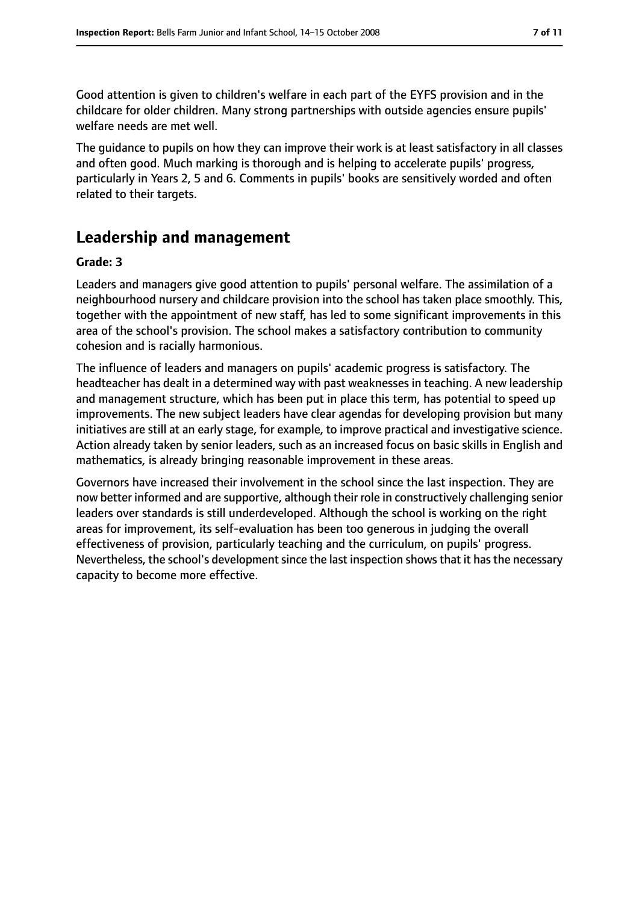Good attention is given to children's welfare in each part of the EYFS provision and in the childcare for older children. Many strong partnerships with outside agencies ensure pupils' welfare needs are met well.

The guidance to pupils on how they can improve their work is at least satisfactory in all classes and often good. Much marking is thorough and is helping to accelerate pupils' progress, particularly in Years 2, 5 and 6. Comments in pupils' books are sensitively worded and often related to their targets.

# **Leadership and management**

#### **Grade: 3**

Leaders and managers give good attention to pupils' personal welfare. The assimilation of a neighbourhood nursery and childcare provision into the school has taken place smoothly. This, together with the appointment of new staff, has led to some significant improvements in this area of the school's provision. The school makes a satisfactory contribution to community cohesion and is racially harmonious.

The influence of leaders and managers on pupils' academic progress is satisfactory. The headteacher has dealt in a determined way with past weaknesses in teaching. A new leadership and management structure, which has been put in place this term, has potential to speed up improvements. The new subject leaders have clear agendas for developing provision but many initiatives are still at an early stage, for example, to improve practical and investigative science. Action already taken by senior leaders, such as an increased focus on basic skills in English and mathematics, is already bringing reasonable improvement in these areas.

Governors have increased their involvement in the school since the last inspection. They are now better informed and are supportive, although their role in constructively challenging senior leaders over standards is still underdeveloped. Although the school is working on the right areas for improvement, its self-evaluation has been too generous in judging the overall effectiveness of provision, particularly teaching and the curriculum, on pupils' progress. Nevertheless, the school's development since the last inspection shows that it has the necessary capacity to become more effective.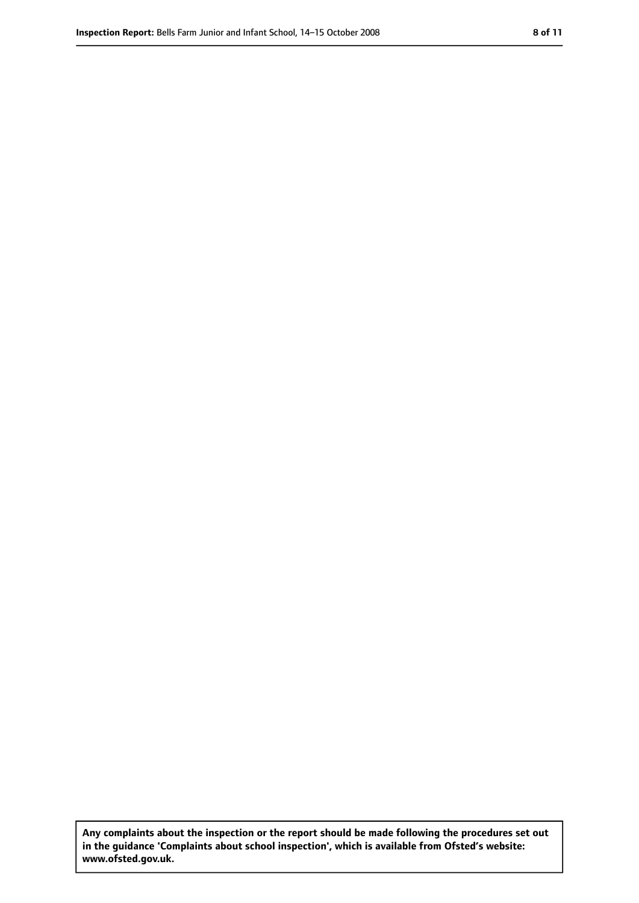**Any complaints about the inspection or the report should be made following the procedures set out in the guidance 'Complaints about school inspection', which is available from Ofsted's website: www.ofsted.gov.uk.**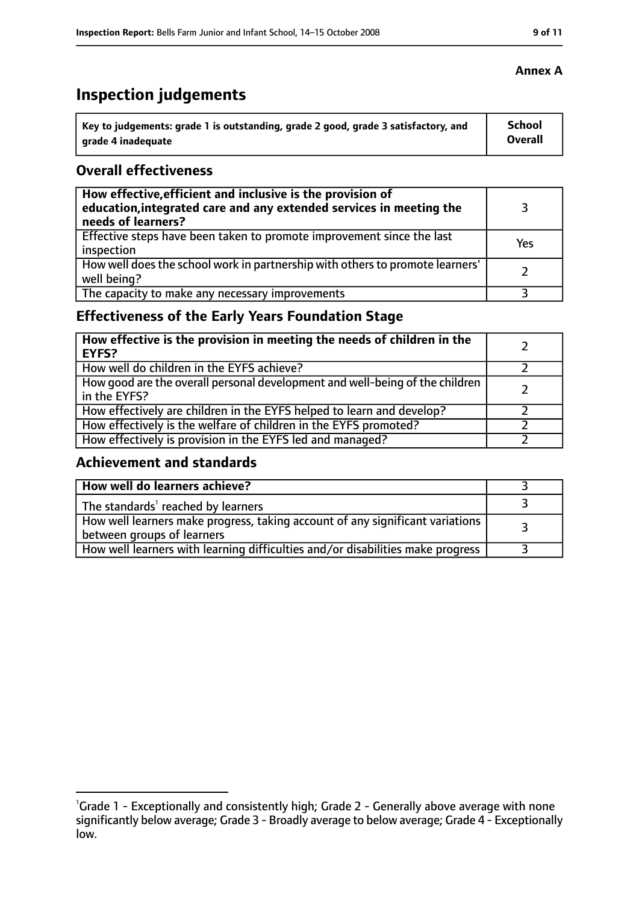# **Inspection judgements**

| Key to judgements: grade 1 is outstanding, grade 2 good, grade 3 satisfactory, and | School  |
|------------------------------------------------------------------------------------|---------|
| arade 4 inadequate                                                                 | Overall |

### **Overall effectiveness**

| How effective, efficient and inclusive is the provision of<br>education, integrated care and any extended services in meeting the<br>needs of learners? |     |
|---------------------------------------------------------------------------------------------------------------------------------------------------------|-----|
| Effective steps have been taken to promote improvement since the last<br>inspection                                                                     | Yes |
| How well does the school work in partnership with others to promote learners'<br>well being?                                                            |     |
| The capacity to make any necessary improvements                                                                                                         |     |

# **Effectiveness of the Early Years Foundation Stage**

| How effective is the provision in meeting the needs of children in the<br>l EYFS?            |  |
|----------------------------------------------------------------------------------------------|--|
| How well do children in the EYFS achieve?                                                    |  |
| How good are the overall personal development and well-being of the children<br>in the EYFS? |  |
| How effectively are children in the EYFS helped to learn and develop?                        |  |
| How effectively is the welfare of children in the EYFS promoted?                             |  |
| How effectively is provision in the EYFS led and managed?                                    |  |

## **Achievement and standards**

| How well do learners achieve?                                                                               |  |
|-------------------------------------------------------------------------------------------------------------|--|
| The standards <sup>1</sup> reached by learners                                                              |  |
| How well learners make progress, taking account of any significant variations<br>between groups of learners |  |
| How well learners with learning difficulties and/or disabilities make progress                              |  |

#### **Annex A**

<sup>&</sup>lt;sup>1</sup>Grade 1 - Exceptionally and consistently high; Grade 2 - Generally above average with none significantly below average; Grade 3 - Broadly average to below average; Grade 4 - Exceptionally low.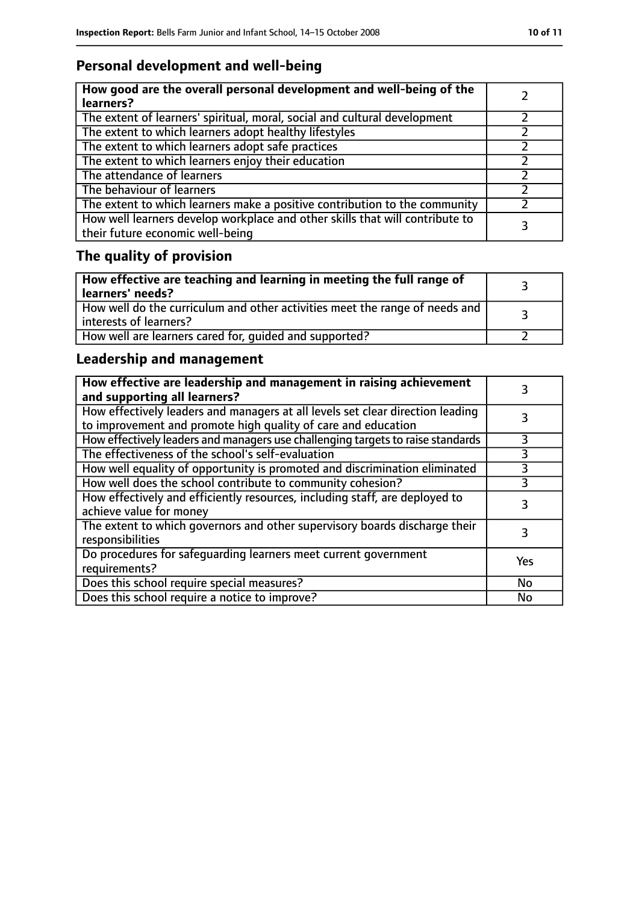# **Personal development and well-being**

| How good are the overall personal development and well-being of the<br>learners?                                 |  |
|------------------------------------------------------------------------------------------------------------------|--|
| The extent of learners' spiritual, moral, social and cultural development                                        |  |
| The extent to which learners adopt healthy lifestyles                                                            |  |
| The extent to which learners adopt safe practices                                                                |  |
| The extent to which learners enjoy their education                                                               |  |
| The attendance of learners                                                                                       |  |
| The behaviour of learners                                                                                        |  |
| The extent to which learners make a positive contribution to the community                                       |  |
| How well learners develop workplace and other skills that will contribute to<br>their future economic well-being |  |

# **The quality of provision**

| How effective are teaching and learning in meeting the full range of<br>learners' needs?                |  |
|---------------------------------------------------------------------------------------------------------|--|
| How well do the curriculum and other activities meet the range of needs and<br>  interests of learners? |  |
| How well are learners cared for, quided and supported?                                                  |  |

# **Leadership and management**

| How effective are leadership and management in raising achievement<br>and supporting all learners?                                              |     |
|-------------------------------------------------------------------------------------------------------------------------------------------------|-----|
| How effectively leaders and managers at all levels set clear direction leading<br>to improvement and promote high quality of care and education |     |
| How effectively leaders and managers use challenging targets to raise standards                                                                 |     |
| The effectiveness of the school's self-evaluation                                                                                               | 3   |
| How well equality of opportunity is promoted and discrimination eliminated                                                                      | 3   |
| How well does the school contribute to community cohesion?                                                                                      | 3   |
| How effectively and efficiently resources, including staff, are deployed to<br>achieve value for money                                          | 3   |
| The extent to which governors and other supervisory boards discharge their<br>responsibilities                                                  |     |
| Do procedures for safequarding learners meet current government<br>requirements?                                                                | Yes |
| Does this school require special measures?                                                                                                      | No  |
| Does this school require a notice to improve?                                                                                                   | No  |